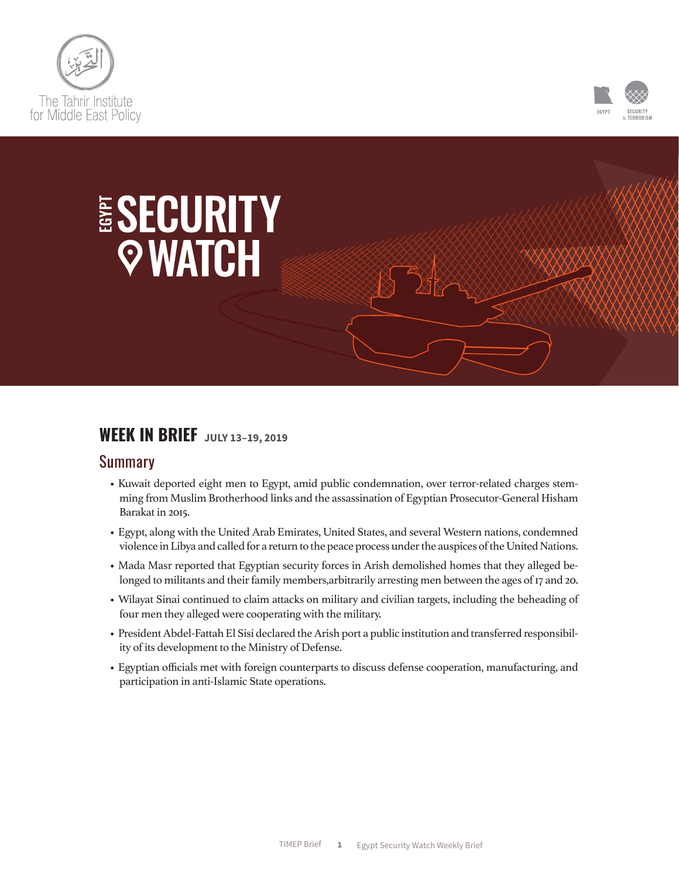



# ESECURITY *QWATCH*

# **WEEK IN BRIEF JULY 13–19, 2019**

#### Summary

- Kuwait deported eight men to Egypt, amid public condemnation, over terror-related charges stemming from Muslim Brotherhood links and the assassination of Egyptian Prosecutor-General Hisham Barakat in 2015.
- Egypt, along with the United Arab Emirates, United States, and several Western nations, condemned violence in Libya and called for a return to the peace process under the auspices of the United Nations.
- Mada Masr reported that Egyptian security forces in Arish demolished homes that they alleged belonged to militants and their family members, arbitrarily arresting men between the ages of 17 and 20.
- Wilayat Sinai continued to claim attacks on military and civilian targets, including the beheading of four men they alleged were cooperating with the military.
- President Abdel-Fattah El Sisi declared the Arish port a public institution and transferred responsibility of its development to the Ministry of Defense.
- Egyptian officials met with foreign counterparts to discuss defense cooperation, manufacturing, and participation in anti-Islamic State operations.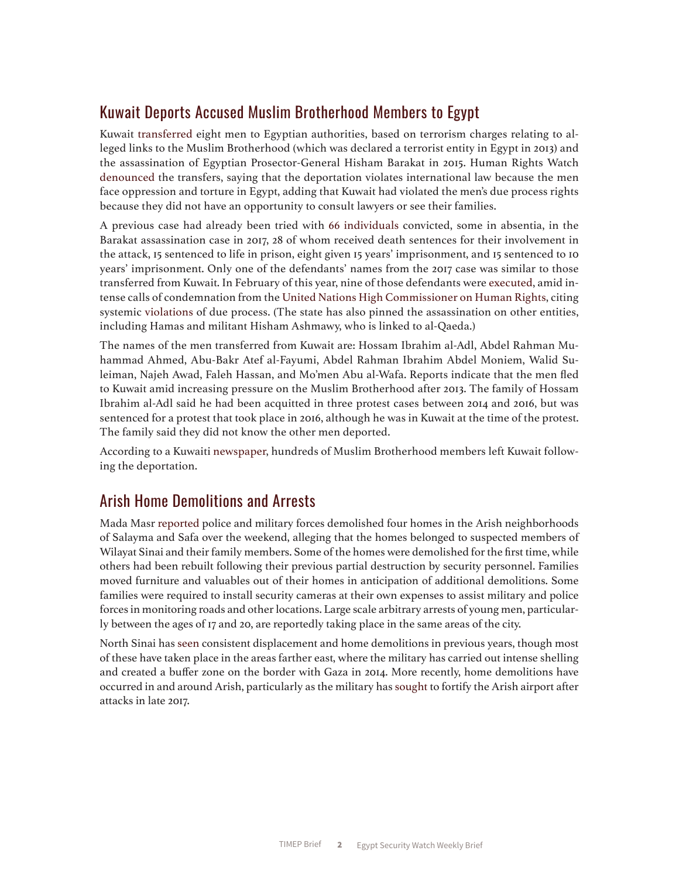### Kuwait Deports Accused Muslim Brotherhood Members to Egypt

Kuwait [transferred](https://www.reuters.com/article/us-kuwait-security-egypt/kuwait-hands-muslim-brotherhood-linked-militants-to-egypt-kuna-idUSKCN1UA1AP) eight men to Egyptian authorities, based on terrorism charges relating to alleged links to the Muslim Brotherhood (which was declared a terrorist entity in Egypt in 2013) and the assassination of Egyptian Prosector-General Hisham Barakat in 2015. Human Rights Watch [denounced](https://www.hrw.org/news/2019/07/15/kuwait-8-egyptian-dissidents-unlawfully-returned) the transfers, saying that the deportation violates international law because the men face oppression and torture in Egypt, adding that Kuwait had violated the men's due process rights because they did not have an opportunity to consult lawyers or see their families.

A previous case had already been tried with [66 individuals](http://gate.ahram.org.eg/News/1554671.aspx) convicted, some in absentia, in the Barakat assassination case in 2017, 28 of whom received death sentences for their involvement in the attack, 15 sentenced to life in prison, eight given 15 years' imprisonment, and 15 sentenced to 10 years' imprisonment. Only one of the defendants' names from the 2017 case was similar to those transferred from Kuwait. In February of this year, nine of those defendants were [executed,](https://www.reuters.com/article/us-egypt-execution/egypt-executes-nine-men-over-killing-of-public-prosecutor-prison-source-lawyer-idUSKCN1Q9125) amid intense calls of condemnation from the [United Nations High Commissioner on Human Rights,](https://www.ohchr.org/EN/NewsEvents/Pages/DisplayNews.aspx?NewsID=24195&LangID=E) citing systemic [violations of](https://timep.org/wp-content/uploads/2019/06/ExecutionstheDeathPenalty-2.pdf) due process. (The state has also pinned the assassination on other entities, including Hamas and militant Hisham Ashmawy, who is linked to al-Qaeda.)

The names of the men transferred from Kuwait are: Hossam Ibrahim al-Adl, Abdel Rahman Muhammad Ahmed, Abu-Bakr Atef al-Fayumi, Abdel Rahman Ibrahim Abdel Moniem, Walid Suleiman, Najeh Awad, Faleh Hassan, and Mo'men Abu al-Wafa. Reports indicate that the men fled to Kuwait amid increasing pressure on the Muslim Brotherhood after 2013. The family of Hossam Ibrahim al-Adl said he had been acquitted in three protest cases between 2014 and 2016, but was sentenced for a protest that took place in 2016, although he was in Kuwait at the time of the protest. The family said they did not know the other men deported.

According to a Kuwaiti [newspaper](https://alqabas.com/article/5689884-300-%D8%A5%D8%AE%D9%88%D8%A7%D9%86%D9%8A-%D9%85%D8%B5%D8%B1%D9%8A-%D8%BA%D8%A7%D8%AF%D8%B1%D9%88%D8%A7-%D8%A7%D9%84%D9%83%D9%88%D9%8A%D8%AA-%D8%A7%D8%AD%D8%AA%D8%B1%D8%A7%D8%B2%D9%8A%D8%A7), hundreds of Muslim Brotherhood members left Kuwait following the deportation.

#### Arish Home Demolitions and Arrests

Mada Masr [reported](https://madamirror15.appspot.com/madamasr.com/en/2019/07/16/feature/politics/north-sinai-residents-under-siege-home-demolitions-and-security-sweeps-on-the-rise-in-arish-motorcycles-banned-in-bir-al-abd/) police and military forces demolished four homes in the Arish neighborhoods of Salayma and Safa over the weekend, alleging that the homes belonged to suspected members of Wilayat Sinai and their family members. Some of the homes were demolished for the first time, while others had been rebuilt following their previous partial destruction by security personnel. Families moved furniture and valuables out of their homes in anticipation of additional demolitions. Some families were required to install security cameras at their own expenses to assist military and police forces in monitoring roads and other locations. Large scale arbitrary arrests of young men, particularly between the ages of 17 and 20, are reportedly taking place in the same areas of the city.

North Sinai has [seen](https://www.hrw.org/news/2018/05/22/egypt-army-intensifies-sinai-home-demolitions) consistent displacement and home demolitions in previous years, though most of these have taken place in the areas farther east, where the military has carried out intense shelling and created a buffer zone on the border with Gaza in 2014. More recently, home demolitions have occurred in and around Arish, particularly as the military has [sought](http://www.arabnews.com/node/1238191/middle-east) to fortify the Arish airport after attacks in late 2017.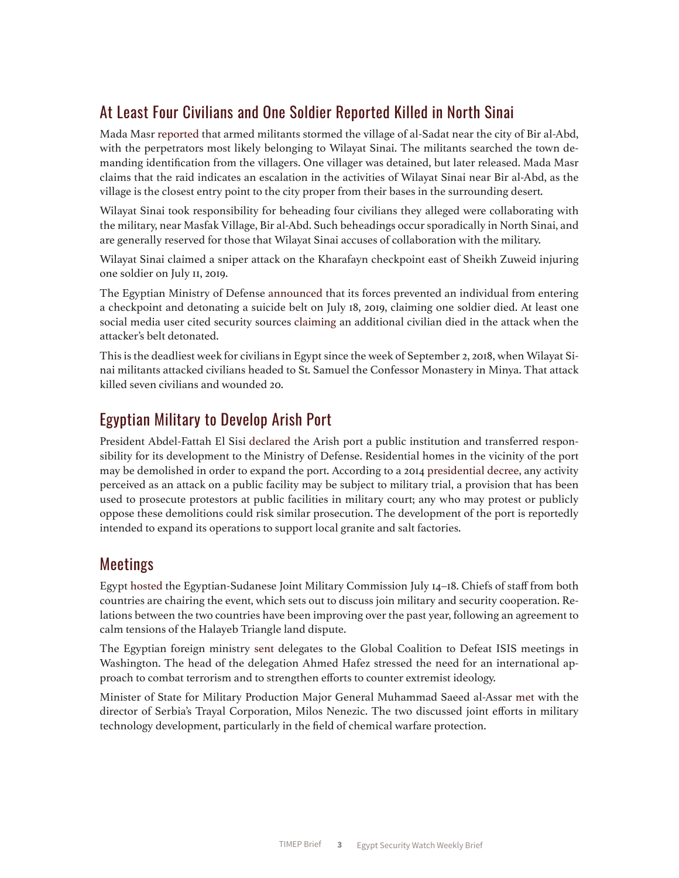## At Least Four Civilians and One Soldier Reported Killed in North Sinai

Mada Masr [reported](https://madamirror15.appspot.com/madamasr.com/en/2019/07/16/feature/politics/north-sinai-residents-under-siege-home-demolitions-and-security-sweeps-on-the-rise-in-arish-motorcycles-banned-in-bir-al-abd/) that armed militants stormed the village of al-Sadat near the city of Bir al-Abd, with the perpetrators most likely belonging to Wilayat Sinai. The militants searched the town demanding identification from the villagers. One villager was detained, but later released. Mada Masr claims that the raid indicates an escalation in the activities of Wilayat Sinai near Bir al-Abd, as the village is the closest entry point to the city proper from their bases in the surrounding desert.

Wilayat Sinai took responsibility for beheading four civilians they alleged were collaborating with the military, near Masfak Village, Bir al-Abd. Such beheadings occur sporadically in North Sinai, and are generally reserved for those that Wilayat Sinai accuses of collaboration with the military.

Wilayat Sinai claimed a sniper attack on the Kharafayn checkpoint east of Sheikh Zuweid injuring one soldier on July 11, 2019.

The Egyptian Ministry of Defense [announced](https://www.facebook.com/EgyArmySpox/photos/a.219625808168409/1642737415857234/?type=3&theater) that its forces prevented an individual from entering a checkpoint and detonating a suicide belt on July 18, 2019, claiming one soldier died. At least one social media user cited security sources [claiming](https://twitter.com/mahmouedgamal44/status/1151829802187444224) an additional civilian died in the attack when the attacker's belt detonated.

This is the deadliest week for civilians in Egypt since the week of September 2, 2018, when Wilayat Sinai militants attacked civilians headed to St. Samuel the Confessor Monastery in Minya. That attack killed seven civilians and wounded 20.

#### Egyptian Military to Develop Arish Port

President Abdel-Fattah El Sisi [declared](http://english.ahram.org.eg/NewsContent/1/64/338010/Egypt/Politics-/Presidential-decree-considering-Arish-port-as-publ.aspx) the Arish port a public institution and transferred responsibility for its development to the Ministry of Defense. Residential homes in the vicinity of the port may be demolished in order to expand the port. According to a 2014 [presidential decree](https://twitter.com/maitelsadany/status/526757105253224448), any activity perceived as an attack on a public facility may be subject to military trial, a provision that has been used to prosecute protestors at public facilities in military court; any who may protest or publicly oppose these demolitions could risk similar prosecution. The development of the port is reportedly intended to expand its operations to support local granite and salt factories.

#### Meetings

Egypt [hosted](https://www.middleeastmonitor.com/20190715-egypt-to-host-6th-meeting-of-egyptian-sudanese-joint-military-commission/) the Egyptian-Sudanese Joint Military Commission July 14–18. Chiefs of staff from both countries are chairing the event, which sets out to discuss join military and security cooperation. Relations between the two countries have been improving over the past year, following an agreement to calm tensions of the Halayeb Triangle land dispute.

The Egyptian foreign ministry [sent](http://english.ahram.org.eg/News/337965.aspx) delegates to the Global Coalition to Defeat ISIS meetings in Washington. The head of the delegation Ahmed Hafez stressed the need for an international approach to combat terrorism and to strengthen efforts to counter extremist ideology.

Minister of State for Military Production Major General Muhammad Saeed al-Assar [met](http://english.ahram.org.eg/NewsContent/3/12/338018/Business/Economy/Egypt,-Serbia-in-talks-over-manufacture-of-chemica.aspx) with the director of Serbia's Trayal Corporation, Milos Nenezic. The two discussed joint efforts in military technology development, particularly in the field of chemical warfare protection.